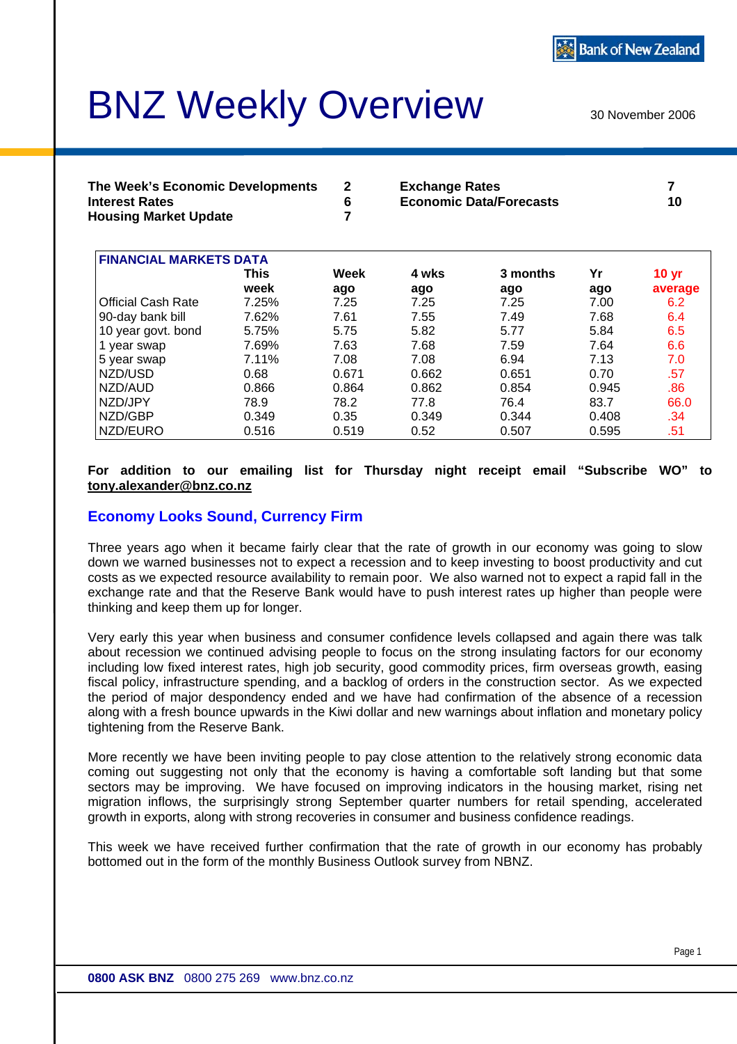# BNZ Weekly Overview

30 November 2006

| The Week's Economic Developments | <b>Exchange Rates</b>          |    |
|----------------------------------|--------------------------------|----|
| <b>Interest Rates</b>            | <b>Economic Data/Forecasts</b> | 10 |
| <b>Housing Market Update</b>     |                                |    |

| <b>FINANCIAL MARKETS DATA</b> |       |       |       |          |       |         |  |  |
|-------------------------------|-------|-------|-------|----------|-------|---------|--|--|
|                               | This  | Week  | 4 wks | 3 months | Yr    | 10 yr   |  |  |
|                               | week  | ago   | ago   | ago      | ago   | average |  |  |
| <b>Official Cash Rate</b>     | 7.25% | 7.25  | 7.25  | 7.25     | 7.00  | 6.2     |  |  |
| 90-day bank bill              | 7.62% | 7.61  | 7.55  | 7.49     | 7.68  | 6.4     |  |  |
| 10 year govt. bond            | 5.75% | 5.75  | 5.82  | 5.77     | 5.84  | 6.5     |  |  |
| 1 year swap                   | 7.69% | 7.63  | 7.68  | 7.59     | 7.64  | 6.6     |  |  |
| 5 year swap                   | 7.11% | 7.08  | 7.08  | 6.94     | 7.13  | 7.0     |  |  |
| NZD/USD                       | 0.68  | 0.671 | 0.662 | 0.651    | 0.70  | .57     |  |  |
| NZD/AUD                       | 0.866 | 0.864 | 0.862 | 0.854    | 0.945 | .86     |  |  |
| NZD/JPY                       | 78.9  | 78.2  | 77.8  | 76.4     | 83.7  | 66.0    |  |  |
| NZD/GBP                       | 0.349 | 0.35  | 0.349 | 0.344    | 0.408 | .34     |  |  |
| NZD/EURO                      | 0.516 | 0.519 | 0.52  | 0.507    | 0.595 | .51     |  |  |

#### **For addition to our emailing list for Thursday night receipt email "Subscribe WO" to [tony.alexander@bnz.co.nz](mailto:tony.alexander@bnz.co.nz)**

#### **Economy Looks Sound, Currency Firm**

Three years ago when it became fairly clear that the rate of growth in our economy was going to slow down we warned businesses not to expect a recession and to keep investing to boost productivity and cut costs as we expected resource availability to remain poor. We also warned not to expect a rapid fall in the exchange rate and that the Reserve Bank would have to push interest rates up higher than people were thinking and keep them up for longer.

Very early this year when business and consumer confidence levels collapsed and again there was talk about recession we continued advising people to focus on the strong insulating factors for our economy including low fixed interest rates, high job security, good commodity prices, firm overseas growth, easing fiscal policy, infrastructure spending, and a backlog of orders in the construction sector. As we expected the period of major despondency ended and we have had confirmation of the absence of a recession along with a fresh bounce upwards in the Kiwi dollar and new warnings about inflation and monetary policy tightening from the Reserve Bank.

More recently we have been inviting people to pay close attention to the relatively strong economic data coming out suggesting not only that the economy is having a comfortable soft landing but that some sectors may be improving. We have focused on improving indicators in the housing market, rising net migration inflows, the surprisingly strong September quarter numbers for retail spending, accelerated growth in exports, along with strong recoveries in consumer and business confidence readings.

This week we have received further confirmation that the rate of growth in our economy has probably bottomed out in the form of the monthly Business Outlook survey from NBNZ.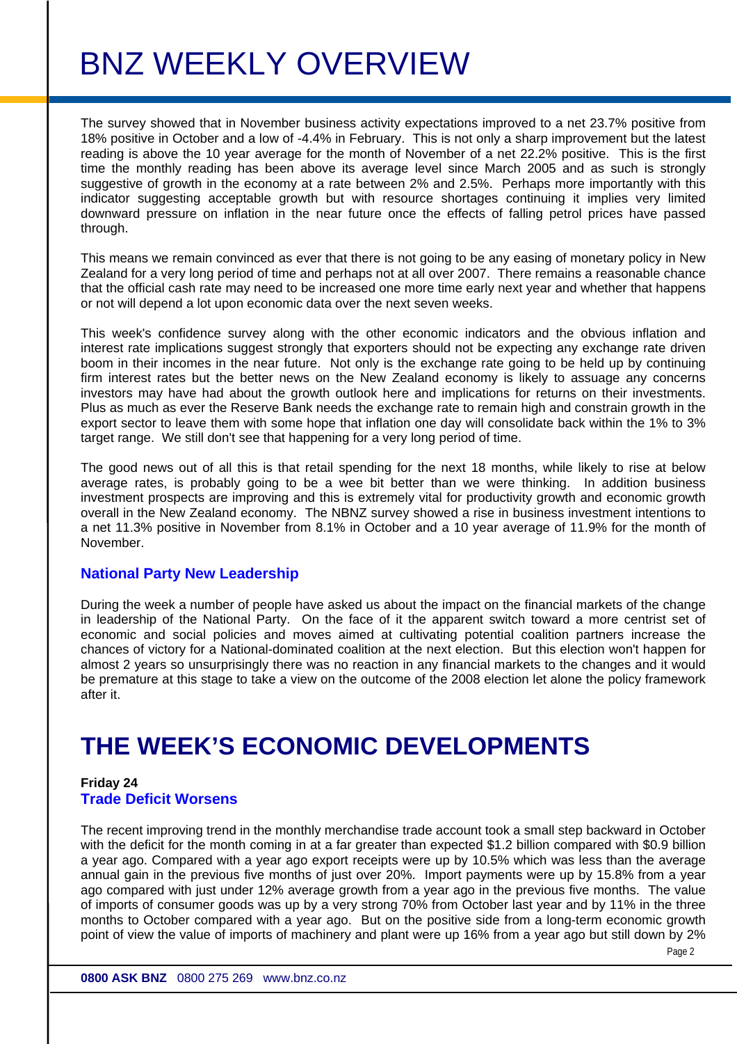The survey showed that in November business activity expectations improved to a net 23.7% positive from 18% positive in October and a low of -4.4% in February. This is not only a sharp improvement but the latest reading is above the 10 year average for the month of November of a net 22.2% positive. This is the first time the monthly reading has been above its average level since March 2005 and as such is strongly suggestive of growth in the economy at a rate between 2% and 2.5%. Perhaps more importantly with this indicator suggesting acceptable growth but with resource shortages continuing it implies very limited downward pressure on inflation in the near future once the effects of falling petrol prices have passed through.

This means we remain convinced as ever that there is not going to be any easing of monetary policy in New Zealand for a very long period of time and perhaps not at all over 2007. There remains a reasonable chance that the official cash rate may need to be increased one more time early next year and whether that happens or not will depend a lot upon economic data over the next seven weeks.

This week's confidence survey along with the other economic indicators and the obvious inflation and interest rate implications suggest strongly that exporters should not be expecting any exchange rate driven boom in their incomes in the near future. Not only is the exchange rate going to be held up by continuing firm interest rates but the better news on the New Zealand economy is likely to assuage any concerns investors may have had about the growth outlook here and implications for returns on their investments. Plus as much as ever the Reserve Bank needs the exchange rate to remain high and constrain growth in the export sector to leave them with some hope that inflation one day will consolidate back within the 1% to 3% target range. We still don't see that happening for a very long period of time.

The good news out of all this is that retail spending for the next 18 months, while likely to rise at below average rates, is probably going to be a wee bit better than we were thinking. In addition business investment prospects are improving and this is extremely vital for productivity growth and economic growth overall in the New Zealand economy. The NBNZ survey showed a rise in business investment intentions to a net 11.3% positive in November from 8.1% in October and a 10 year average of 11.9% for the month of November.

#### **National Party New Leadership**

During the week a number of people have asked us about the impact on the financial markets of the change in leadership of the National Party. On the face of it the apparent switch toward a more centrist set of economic and social policies and moves aimed at cultivating potential coalition partners increase the chances of victory for a National-dominated coalition at the next election. But this election won't happen for almost 2 years so unsurprisingly there was no reaction in any financial markets to the changes and it would be premature at this stage to take a view on the outcome of the 2008 election let alone the policy framework after it.

### **THE WEEK'S ECONOMIC DEVELOPMENTS**

#### **Friday 24 Trade Deficit Worsens**

The recent improving trend in the monthly merchandise trade account took a small step backward in October with the deficit for the month coming in at a far greater than expected \$1.2 billion compared with \$0.9 billion a year ago. Compared with a year ago export receipts were up by 10.5% which was less than the average annual gain in the previous five months of just over 20%. Import payments were up by 15.8% from a year ago compared with just under 12% average growth from a year ago in the previous five months. The value of imports of consumer goods was up by a very strong 70% from October last year and by 11% in the three months to October compared with a year ago. But on the positive side from a long-term economic growth point of view the value of imports of machinery and plant were up 16% from a year ago but still down by 2%

Page 2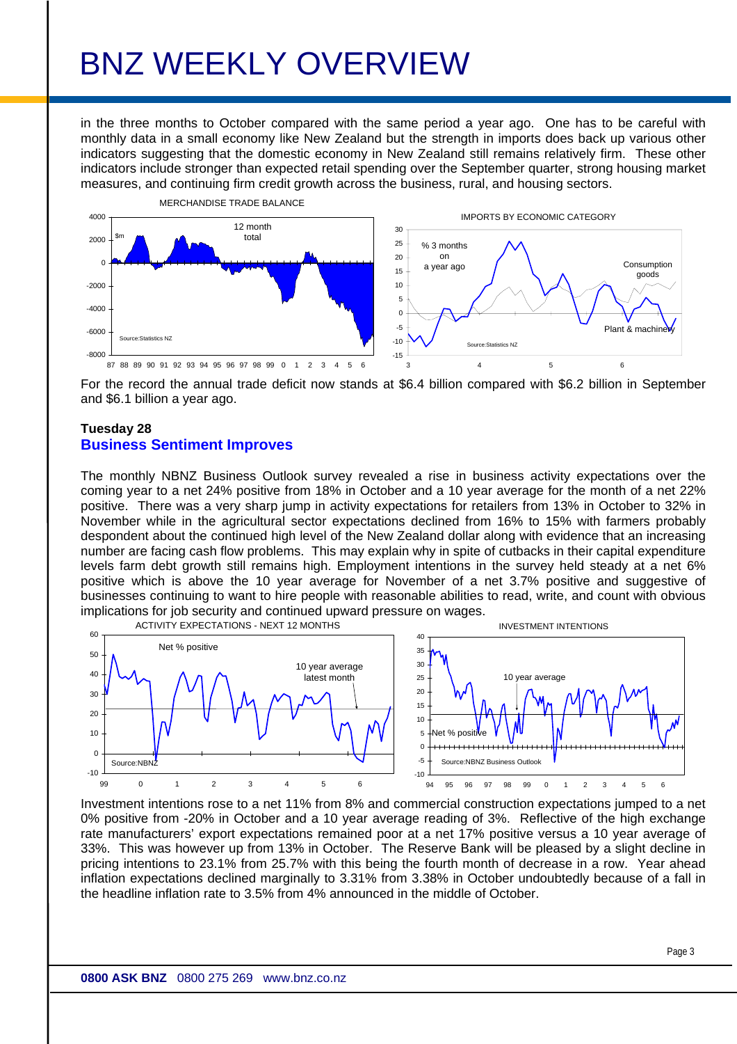in the three months to October compared with the same period a year ago. One has to be careful with monthly data in a small economy like New Zealand but the strength in imports does back up various other indicators suggesting that the domestic economy in New Zealand still remains relatively firm. These other indicators include stronger than expected retail spending over the September quarter, strong housing market measures, and continuing firm credit growth across the business, rural, and housing sectors.



For the record the annual trade deficit now stands at \$6.4 billion compared with \$6.2 billion in September and \$6.1 billion a year ago.

#### **Tuesday 28 Business Sentiment Improves**

The monthly NBNZ Business Outlook survey revealed a rise in business activity expectations over the coming year to a net 24% positive from 18% in October and a 10 year average for the month of a net 22% positive. There was a very sharp jump in activity expectations for retailers from 13% in October to 32% in November while in the agricultural sector expectations declined from 16% to 15% with farmers probably despondent about the continued high level of the New Zealand dollar along with evidence that an increasing number are facing cash flow problems. This may explain why in spite of cutbacks in their capital expenditure levels farm debt growth still remains high. Employment intentions in the survey held steady at a net 6% positive which is above the 10 year average for November of a net 3.7% positive and suggestive of businesses continuing to want to hire people with reasonable abilities to read, write, and count with obvious implications for job security and continued upward pressure on wages.



Investment intentions rose to a net 11% from 8% and commercial construction expectations jumped to a net 0% positive from -20% in October and a 10 year average reading of 3%. Reflective of the high exchange rate manufacturers' export expectations remained poor at a net 17% positive versus a 10 year average of 33%. This was however up from 13% in October. The Reserve Bank will be pleased by a slight decline in pricing intentions to 23.1% from 25.7% with this being the fourth month of decrease in a row. Year ahead inflation expectations declined marginally to 3.31% from 3.38% in October undoubtedly because of a fall in the headline inflation rate to 3.5% from 4% announced in the middle of October.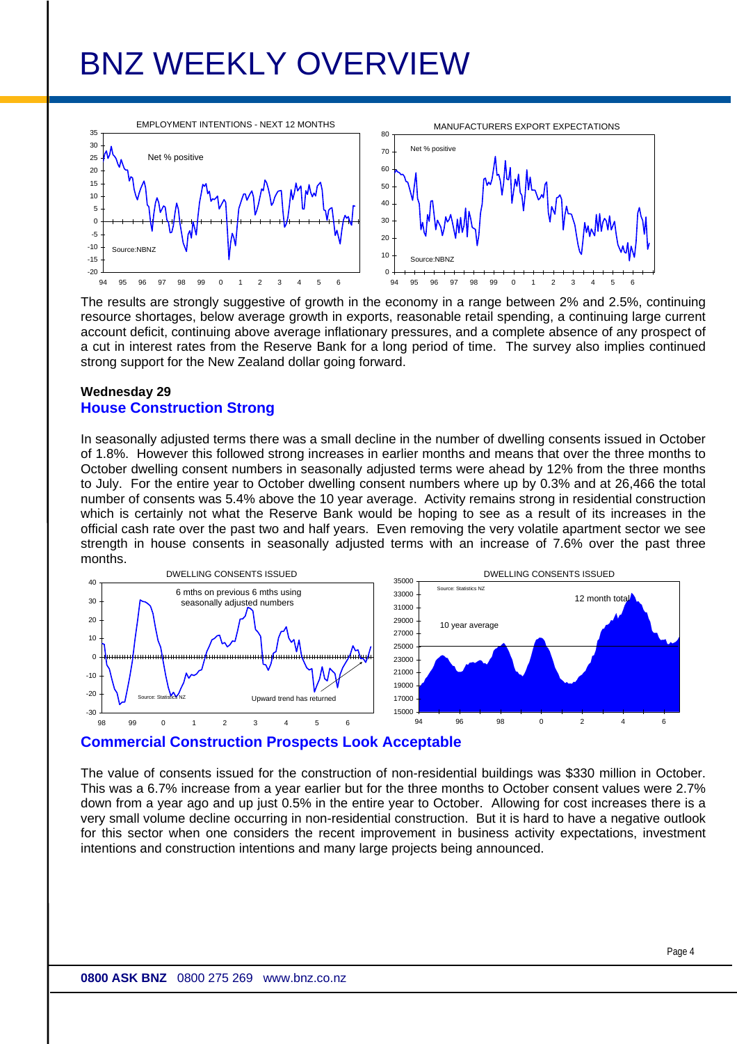

The results are strongly suggestive of growth in the economy in a range between 2% and 2.5%, continuing resource shortages, below average growth in exports, reasonable retail spending, a continuing large current account deficit, continuing above average inflationary pressures, and a complete absence of any prospect of a cut in interest rates from the Reserve Bank for a long period of time. The survey also implies continued strong support for the New Zealand dollar going forward.

#### **Wednesday 29 House Construction Strong**

In seasonally adjusted terms there was a small decline in the number of dwelling consents issued in October of 1.8%. However this followed strong increases in earlier months and means that over the three months to October dwelling consent numbers in seasonally adjusted terms were ahead by 12% from the three months to July. For the entire year to October dwelling consent numbers where up by 0.3% and at 26,466 the total number of consents was 5.4% above the 10 year average. Activity remains strong in residential construction which is certainly not what the Reserve Bank would be hoping to see as a result of its increases in the official cash rate over the past two and half years. Even removing the very volatile apartment sector we see strength in house consents in seasonally adjusted terms with an increase of 7.6% over the past three months.



#### **Commercial Construction Prospects Look Acceptable**

The value of consents issued for the construction of non-residential buildings was \$330 million in October. This was a 6.7% increase from a year earlier but for the three months to October consent values were 2.7% down from a year ago and up just 0.5% in the entire year to October. Allowing for cost increases there is a very small volume decline occurring in non-residential construction. But it is hard to have a negative outlook for this sector when one considers the recent improvement in business activity expectations, investment intentions and construction intentions and many large projects being announced.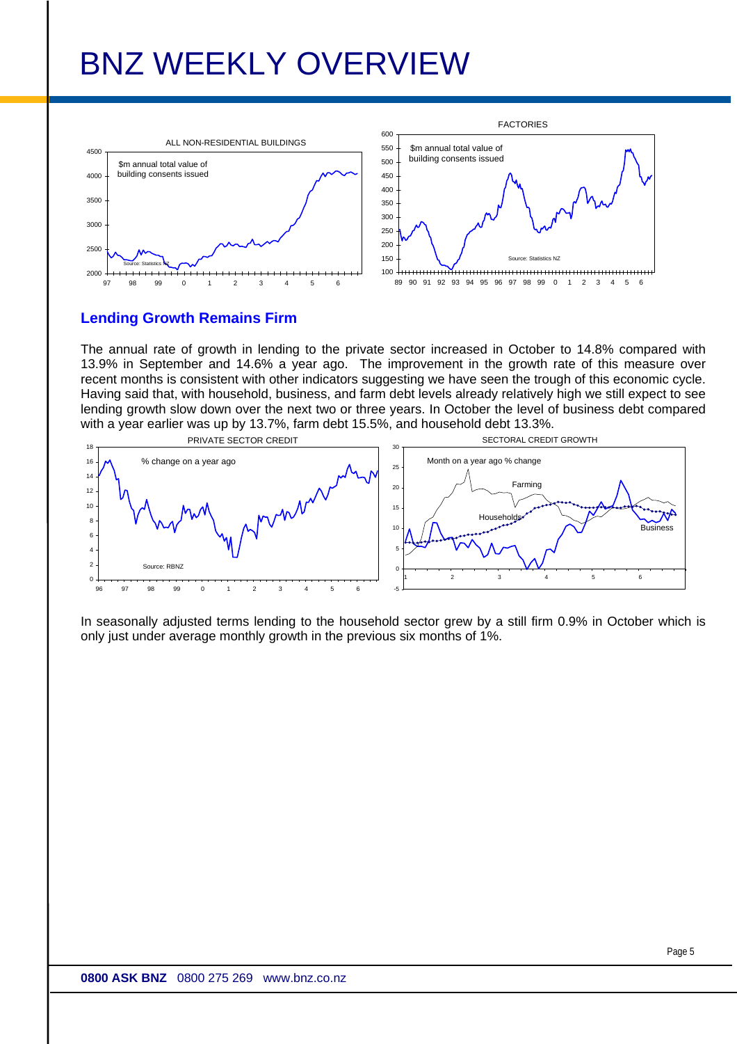

#### **Lending Growth Remains Firm**

The annual rate of growth in lending to the private sector increased in October to 14.8% compared with 13.9% in September and 14.6% a year ago. The improvement in the growth rate of this measure over recent months is consistent with other indicators suggesting we have seen the trough of this economic cycle. Having said that, with household, business, and farm debt levels already relatively high we still expect to see lending growth slow down over the next two or three years. In October the level of business debt compared with a year earlier was up by 13.7%, farm debt 15.5%, and household debt 13.3%.



In seasonally adjusted terms lending to the household sector grew by a still firm 0.9% in October which is only just under average monthly growth in the previous six months of 1%.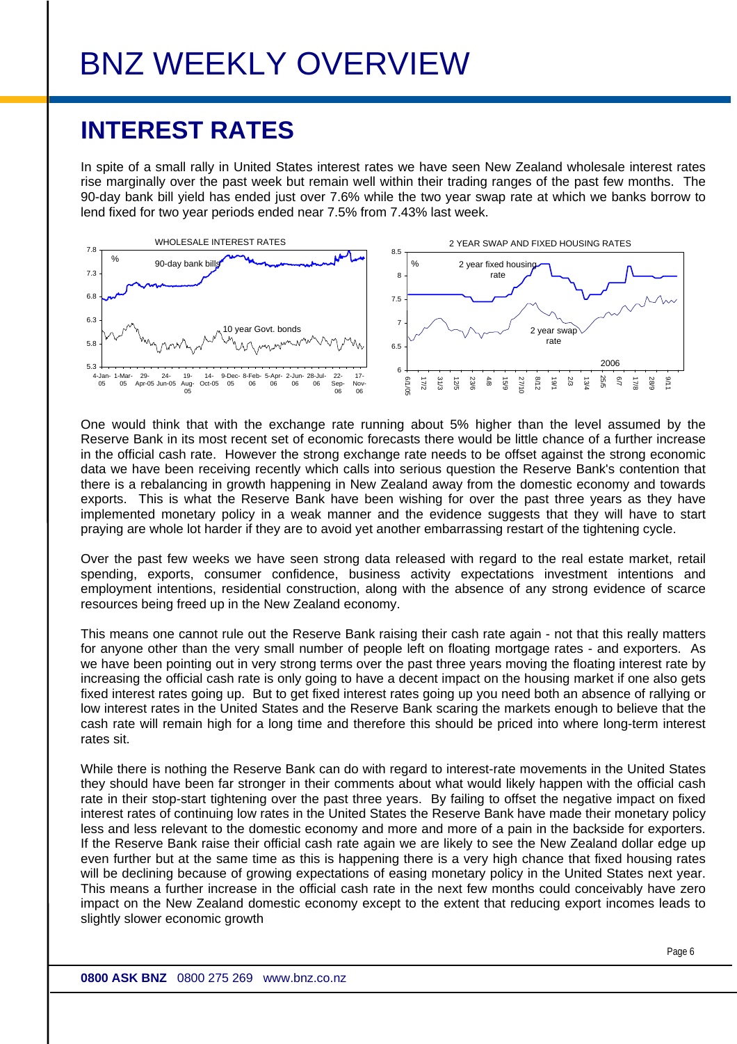### **INTEREST RATES**

In spite of a small rally in United States interest rates we have seen New Zealand wholesale interest rates rise marginally over the past week but remain well within their trading ranges of the past few months. The 90-day bank bill yield has ended just over 7.6% while the two year swap rate at which we banks borrow to lend fixed for two year periods ended near 7.5% from 7.43% last week.



One would think that with the exchange rate running about 5% higher than the level assumed by the Reserve Bank in its most recent set of economic forecasts there would be little chance of a further increase in the official cash rate. However the strong exchange rate needs to be offset against the strong economic data we have been receiving recently which calls into serious question the Reserve Bank's contention that there is a rebalancing in growth happening in New Zealand away from the domestic economy and towards exports. This is what the Reserve Bank have been wishing for over the past three years as they have implemented monetary policy in a weak manner and the evidence suggests that they will have to start praying are whole lot harder if they are to avoid yet another embarrassing restart of the tightening cycle.

Over the past few weeks we have seen strong data released with regard to the real estate market, retail spending, exports, consumer confidence, business activity expectations investment intentions and employment intentions, residential construction, along with the absence of any strong evidence of scarce resources being freed up in the New Zealand economy.

This means one cannot rule out the Reserve Bank raising their cash rate again - not that this really matters for anyone other than the very small number of people left on floating mortgage rates - and exporters. As we have been pointing out in very strong terms over the past three years moving the floating interest rate by increasing the official cash rate is only going to have a decent impact on the housing market if one also gets fixed interest rates going up. But to get fixed interest rates going up you need both an absence of rallying or low interest rates in the United States and the Reserve Bank scaring the markets enough to believe that the cash rate will remain high for a long time and therefore this should be priced into where long-term interest rates sit.

While there is nothing the Reserve Bank can do with regard to interest-rate movements in the United States they should have been far stronger in their comments about what would likely happen with the official cash rate in their stop-start tightening over the past three years. By failing to offset the negative impact on fixed interest rates of continuing low rates in the United States the Reserve Bank have made their monetary policy less and less relevant to the domestic economy and more and more of a pain in the backside for exporters. If the Reserve Bank raise their official cash rate again we are likely to see the New Zealand dollar edge up even further but at the same time as this is happening there is a very high chance that fixed housing rates will be declining because of growing expectations of easing monetary policy in the United States next year. This means a further increase in the official cash rate in the next few months could conceivably have zero impact on the New Zealand domestic economy except to the extent that reducing export incomes leads to slightly slower economic growth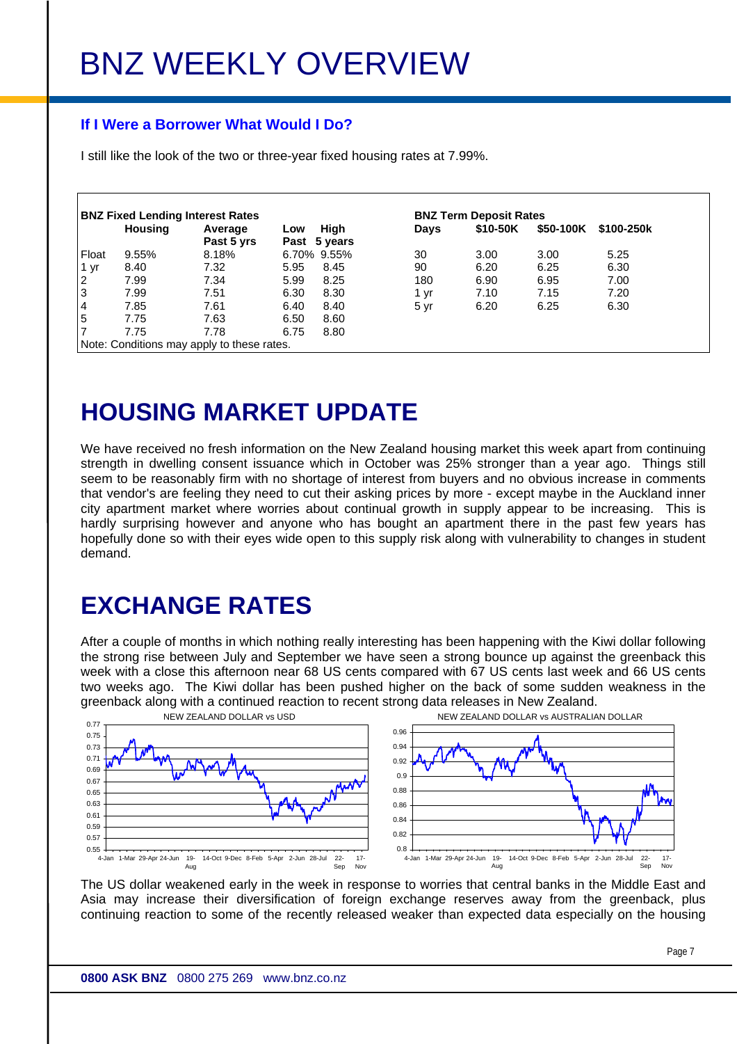#### **If I Were a Borrower What Would I Do?**

I still like the look of the two or three-year fixed housing rates at 7.99%.

| <b>BNZ Fixed Lending Interest Rates</b> |                |                                            |      | <b>BNZ Term Deposit Rates</b> |      |          |           |            |  |
|-----------------------------------------|----------------|--------------------------------------------|------|-------------------------------|------|----------|-----------|------------|--|
|                                         | <b>Housing</b> | Average<br>Past 5 yrs                      | Low  | High<br>Past 5 years          | Days | \$10-50K | \$50-100K | \$100-250k |  |
| Float                                   | 9.55%          | 8.18%                                      |      | 6.70% 9.55%                   | 30   | 3.00     | 3.00      | 5.25       |  |
| 1 <sub>yr</sub>                         | 8.40           | 7.32                                       | 5.95 | 8.45                          | 90   | 6.20     | 6.25      | 6.30       |  |
| $\overline{2}$                          | 7.99           | 7.34                                       | 5.99 | 8.25                          | 180  | 6.90     | 6.95      | 7.00       |  |
| 3                                       | 7.99           | 7.51                                       | 6.30 | 8.30                          | 1 yr | 7.10     | 7.15      | 7.20       |  |
| $\overline{4}$                          | 7.85           | 7.61                                       | 6.40 | 8.40                          | 5 yr | 6.20     | 6.25      | 6.30       |  |
| $\overline{5}$                          | 7.75           | 7.63                                       | 6.50 | 8.60                          |      |          |           |            |  |
| 7                                       | 7.75           | 7.78                                       | 6.75 | 8.80                          |      |          |           |            |  |
|                                         |                | Note: Conditions may apply to these rates. |      |                               |      |          |           |            |  |

### **HOUSING MARKET UPDATE**

We have received no fresh information on the New Zealand housing market this week apart from continuing strength in dwelling consent issuance which in October was 25% stronger than a year ago. Things still seem to be reasonably firm with no shortage of interest from buyers and no obvious increase in comments that vendor's are feeling they need to cut their asking prices by more - except maybe in the Auckland inner city apartment market where worries about continual growth in supply appear to be increasing. This is hardly surprising however and anyone who has bought an apartment there in the past few years has hopefully done so with their eyes wide open to this supply risk along with vulnerability to changes in student demand.

### **EXCHANGE RATES**

After a couple of months in which nothing really interesting has been happening with the Kiwi dollar following the strong rise between July and September we have seen a strong bounce up against the greenback this week with a close this afternoon near 68 US cents compared with 67 US cents last week and 66 US cents two weeks ago. The Kiwi dollar has been pushed higher on the back of some sudden weakness in the greenback along with a continued reaction to recent strong data releases in New Zealand.



The US dollar weakened early in the week in response to worries that central banks in the Middle East and Asia may increase their diversification of foreign exchange reserves away from the greenback, plus continuing reaction to some of the recently released weaker than expected data especially on the housing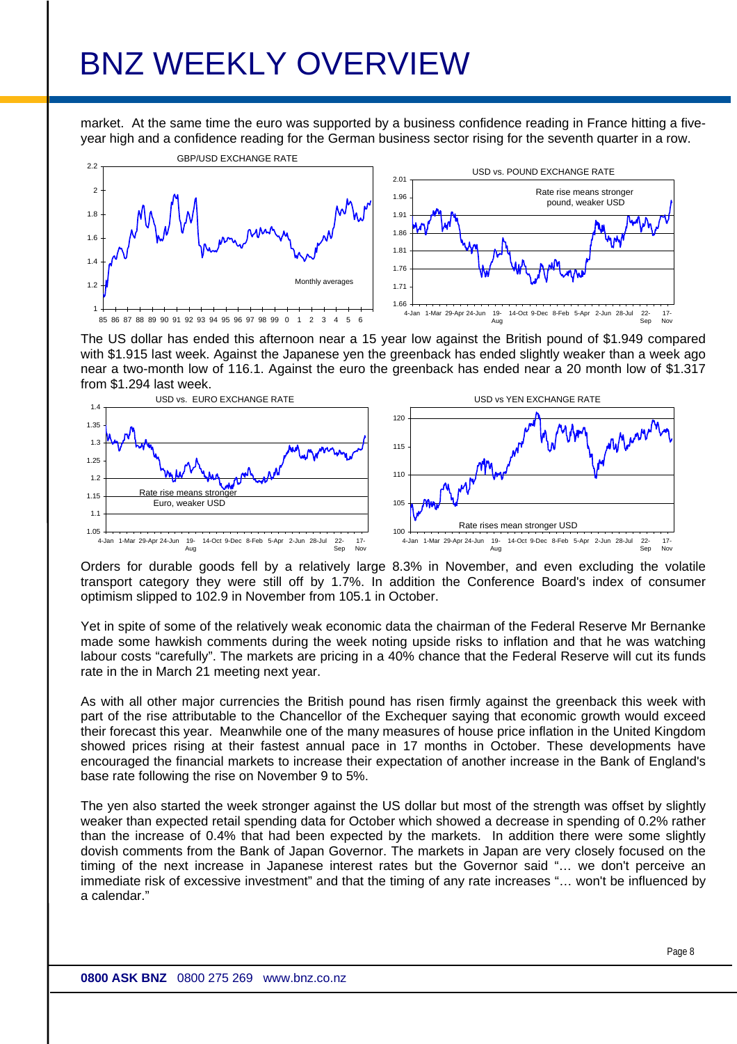market. At the same time the euro was supported by a business confidence reading in France hitting a fiveyear high and a confidence reading for the German business sector rising for the seventh quarter in a row.



The US dollar has ended this afternoon near a 15 year low against the British pound of \$1.949 compared with \$1.915 last week. Against the Japanese yen the greenback has ended slightly weaker than a week ago near a two-month low of 116.1. Against the euro the greenback has ended near a 20 month low of \$1.317 from \$1.294 last week.



Orders for durable goods fell by a relatively large 8.3% in November, and even excluding the volatile transport category they were still off by 1.7%. In addition the Conference Board's index of consumer optimism slipped to 102.9 in November from 105.1 in October.

Yet in spite of some of the relatively weak economic data the chairman of the Federal Reserve Mr Bernanke made some hawkish comments during the week noting upside risks to inflation and that he was watching labour costs "carefully". The markets are pricing in a 40% chance that the Federal Reserve will cut its funds rate in the in March 21 meeting next year.

As with all other major currencies the British pound has risen firmly against the greenback this week with part of the rise attributable to the Chancellor of the Exchequer saying that economic growth would exceed their forecast this year. Meanwhile one of the many measures of house price inflation in the United Kingdom showed prices rising at their fastest annual pace in 17 months in October. These developments have encouraged the financial markets to increase their expectation of another increase in the Bank of England's base rate following the rise on November 9 to 5%.

The yen also started the week stronger against the US dollar but most of the strength was offset by slightly weaker than expected retail spending data for October which showed a decrease in spending of 0.2% rather than the increase of 0.4% that had been expected by the markets. In addition there were some slightly dovish comments from the Bank of Japan Governor. The markets in Japan are very closely focused on the timing of the next increase in Japanese interest rates but the Governor said "… we don't perceive an immediate risk of excessive investment" and that the timing of any rate increases "… won't be influenced by a calendar."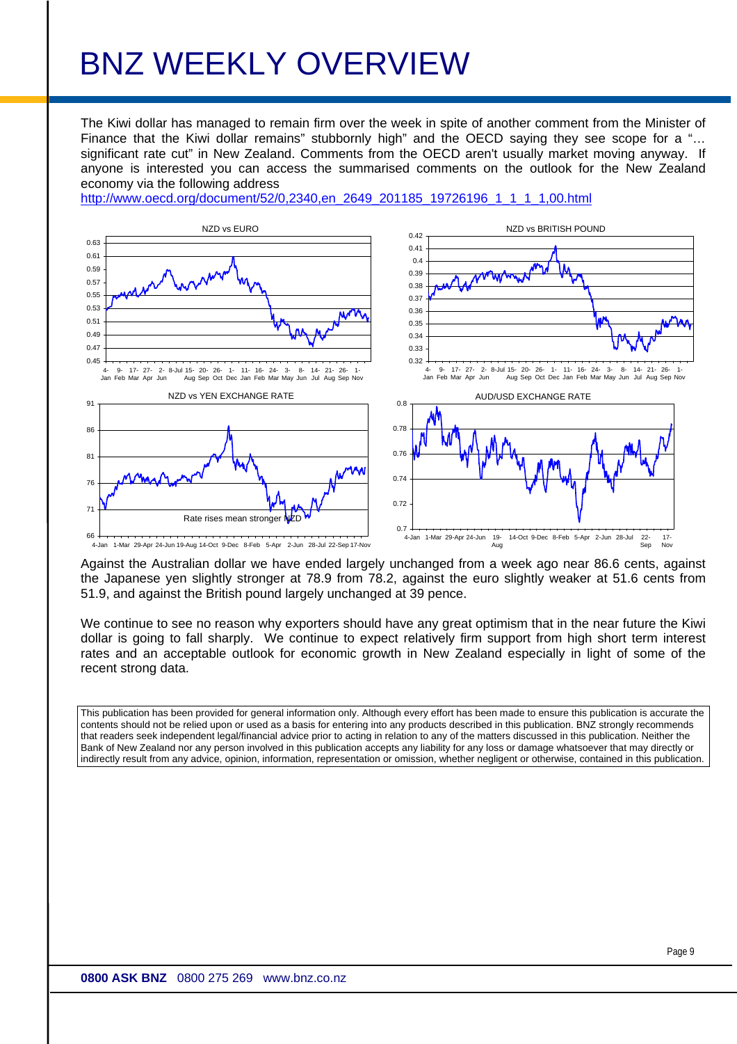The Kiwi dollar has managed to remain firm over the week in spite of another comment from the Minister of Finance that the Kiwi dollar remains" stubbornly high" and the OECD saying they see scope for a "... significant rate cut" in New Zealand. Comments from the OECD aren't usually market moving anyway. If anyone is interested you can access the summarised comments on the outlook for the New Zealand economy via the following address

[http://www.oecd.org/document/52/0,2340,en\\_2649\\_201185\\_19726196\\_1\\_1\\_1\\_1,00.html](http://www.oecd.org/document/52/0,2340,en_2649_201185_19726196_1_1_1_1,00.html)



Against the Australian dollar we have ended largely unchanged from a week ago near 86.6 cents, against the Japanese yen slightly stronger at 78.9 from 78.2, against the euro slightly weaker at 51.6 cents from 51.9, and against the British pound largely unchanged at 39 pence.

We continue to see no reason why exporters should have any great optimism that in the near future the Kiwi dollar is going to fall sharply. We continue to expect relatively firm support from high short term interest rates and an acceptable outlook for economic growth in New Zealand especially in light of some of the recent strong data.

This publication has been provided for general information only. Although every effort has been made to ensure this publication is accurate the contents should not be relied upon or used as a basis for entering into any products described in this publication. BNZ strongly recommends that readers seek independent legal/financial advice prior to acting in relation to any of the matters discussed in this publication. Neither the Bank of New Zealand nor any person involved in this publication accepts any liability for any loss or damage whatsoever that may directly or indirectly result from any advice, opinion, information, representation or omission, whether negligent or otherwise, contained in this publication.